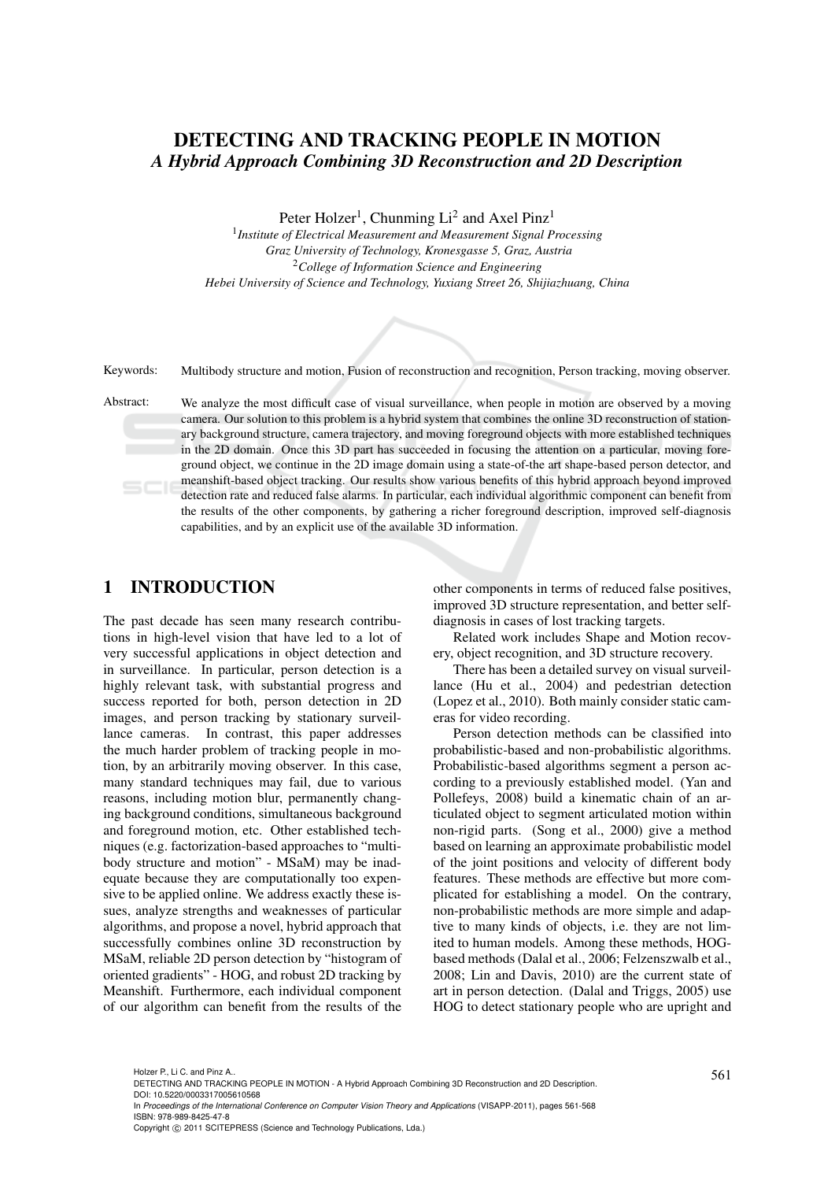# DETECTING AND TRACKING PEOPLE IN MOTION *A Hybrid Approach Combining 3D Reconstruction and 2D Description*

Peter Holzer<sup>1</sup>, Chunming Li<sup>2</sup> and Axel Pinz<sup>1</sup>

1 *Institute of Electrical Measurement and Measurement Signal Processing Graz University of Technology, Kronesgasse 5, Graz, Austria* <sup>2</sup>*College of Information Science and Engineering Hebei University of Science and Technology, Yuxiang Street 26, Shijiazhuang, China*



Keywords: Multibody structure and motion, Fusion of reconstruction and recognition, Person tracking, moving observer.

Abstract: We analyze the most difficult case of visual surveillance, when people in motion are observed by a moving camera. Our solution to this problem is a hybrid system that combines the online 3D reconstruction of stationary background structure, camera trajectory, and moving foreground objects with more established techniques in the 2D domain. Once this 3D part has succeeded in focusing the attention on a particular, moving foreground object, we continue in the 2D image domain using a state-of-the art shape-based person detector, and meanshift-based object tracking. Our results show various benefits of this hybrid approach beyond improved detection rate and reduced false alarms. In particular, each individual algorithmic component can benefit from the results of the other components, by gathering a richer foreground description, improved self-diagnosis capabilities, and by an explicit use of the available 3D information.

# 1 INTRODUCTION

The past decade has seen many research contributions in high-level vision that have led to a lot of very successful applications in object detection and in surveillance. In particular, person detection is a highly relevant task, with substantial progress and success reported for both, person detection in 2D images, and person tracking by stationary surveillance cameras. In contrast, this paper addresses the much harder problem of tracking people in motion, by an arbitrarily moving observer. In this case, many standard techniques may fail, due to various reasons, including motion blur, permanently changing background conditions, simultaneous background and foreground motion, etc. Other established techniques (e.g. factorization-based approaches to "multibody structure and motion" - MSaM) may be inadequate because they are computationally too expensive to be applied online. We address exactly these issues, analyze strengths and weaknesses of particular algorithms, and propose a novel, hybrid approach that successfully combines online 3D reconstruction by MSaM, reliable 2D person detection by "histogram of oriented gradients" - HOG, and robust 2D tracking by Meanshift. Furthermore, each individual component of our algorithm can benefit from the results of the

other components in terms of reduced false positives, improved 3D structure representation, and better selfdiagnosis in cases of lost tracking targets.

Related work includes Shape and Motion recovery, object recognition, and 3D structure recovery.

There has been a detailed survey on visual surveillance (Hu et al., 2004) and pedestrian detection (Lopez et al., 2010). Both mainly consider static cameras for video recording.

Person detection methods can be classified into probabilistic-based and non-probabilistic algorithms. Probabilistic-based algorithms segment a person according to a previously established model. (Yan and Pollefeys, 2008) build a kinematic chain of an articulated object to segment articulated motion within non-rigid parts. (Song et al., 2000) give a method based on learning an approximate probabilistic model of the joint positions and velocity of different body features. These methods are effective but more complicated for establishing a model. On the contrary, non-probabilistic methods are more simple and adaptive to many kinds of objects, i.e. they are not limited to human models. Among these methods, HOGbased methods (Dalal et al., 2006; Felzenszwalb et al., 2008; Lin and Davis, 2010) are the current state of art in person detection. (Dalal and Triggs, 2005) use HOG to detect stationary people who are upright and

<sup>561</sup> Holzer P., Li C. and Pinz A.. DETECTING AND TRACKING PEOPLE IN MOTION - A Hybrid Approach Combining 3D Reconstruction and 2D Description. DOI: 10.5220/0003317005610568

In *Proceedings of the International Conference on Computer Vision Theory and Applications* (VISAPP-2011), pages 561-568 ISBN: 978-989-8425-47-8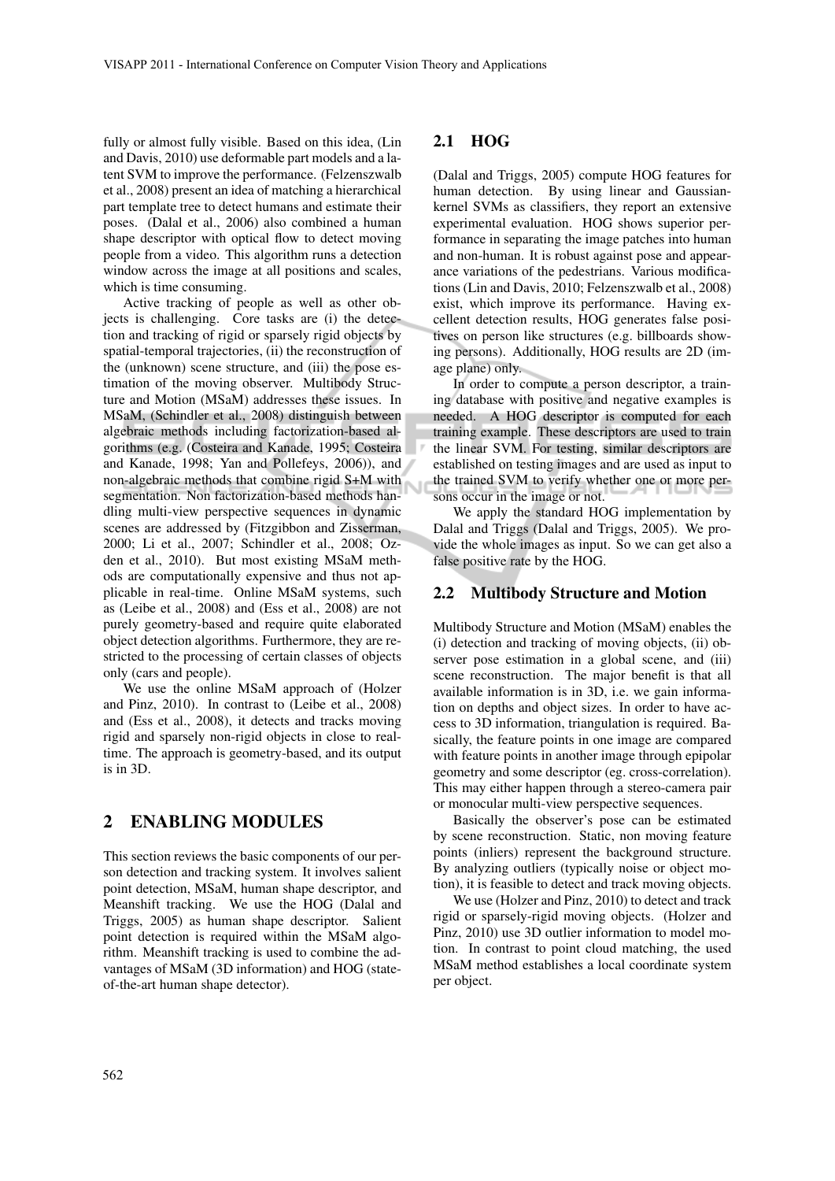fully or almost fully visible. Based on this idea, (Lin and Davis, 2010) use deformable part models and a latent SVM to improve the performance. (Felzenszwalb et al., 2008) present an idea of matching a hierarchical part template tree to detect humans and estimate their poses. (Dalal et al., 2006) also combined a human shape descriptor with optical flow to detect moving people from a video. This algorithm runs a detection window across the image at all positions and scales, which is time consuming.

Active tracking of people as well as other objects is challenging. Core tasks are (i) the detection and tracking of rigid or sparsely rigid objects by spatial-temporal trajectories, (ii) the reconstruction of the (unknown) scene structure, and (iii) the pose estimation of the moving observer. Multibody Structure and Motion (MSaM) addresses these issues. In MSaM, (Schindler et al., 2008) distinguish between algebraic methods including factorization-based algorithms (e.g. (Costeira and Kanade, 1995; Costeira and Kanade, 1998; Yan and Pollefeys, 2006)), and non-algebraic methods that combine rigid S+M with segmentation. Non factorization-based methods handling multi-view perspective sequences in dynamic scenes are addressed by (Fitzgibbon and Zisserman, 2000; Li et al., 2007; Schindler et al., 2008; Ozden et al., 2010). But most existing MSaM methods are computationally expensive and thus not applicable in real-time. Online MSaM systems, such as (Leibe et al., 2008) and (Ess et al., 2008) are not purely geometry-based and require quite elaborated object detection algorithms. Furthermore, they are restricted to the processing of certain classes of objects only (cars and people).

We use the online MSaM approach of (Holzer and Pinz, 2010). In contrast to (Leibe et al., 2008) and (Ess et al., 2008), it detects and tracks moving rigid and sparsely non-rigid objects in close to realtime. The approach is geometry-based, and its output is in 3D.

### 2 ENABLING MODULES

This section reviews the basic components of our person detection and tracking system. It involves salient point detection, MSaM, human shape descriptor, and Meanshift tracking. We use the HOG (Dalal and Triggs, 2005) as human shape descriptor. Salient point detection is required within the MSaM algorithm. Meanshift tracking is used to combine the advantages of MSaM (3D information) and HOG (stateof-the-art human shape detector).

#### 2.1 HOG

(Dalal and Triggs, 2005) compute HOG features for human detection. By using linear and Gaussiankernel SVMs as classifiers, they report an extensive experimental evaluation. HOG shows superior performance in separating the image patches into human and non-human. It is robust against pose and appearance variations of the pedestrians. Various modifications (Lin and Davis, 2010; Felzenszwalb et al., 2008) exist, which improve its performance. Having excellent detection results, HOG generates false positives on person like structures (e.g. billboards showing persons). Additionally, HOG results are 2D (image plane) only.

In order to compute a person descriptor, a training database with positive and negative examples is needed. A HOG descriptor is computed for each training example. These descriptors are used to train the linear SVM. For testing, similar descriptors are established on testing images and are used as input to the trained SVM to verify whether one or more persons occur in the image or not.

We apply the standard HOG implementation by Dalal and Triggs (Dalal and Triggs, 2005). We provide the whole images as input. So we can get also a false positive rate by the HOG.

#### 2.2 Multibody Structure and Motion

Multibody Structure and Motion (MSaM) enables the (i) detection and tracking of moving objects, (ii) observer pose estimation in a global scene, and (iii) scene reconstruction. The major benefit is that all available information is in 3D, i.e. we gain information on depths and object sizes. In order to have access to 3D information, triangulation is required. Basically, the feature points in one image are compared with feature points in another image through epipolar geometry and some descriptor (eg. cross-correlation). This may either happen through a stereo-camera pair or monocular multi-view perspective sequences.

Basically the observer's pose can be estimated by scene reconstruction. Static, non moving feature points (inliers) represent the background structure. By analyzing outliers (typically noise or object motion), it is feasible to detect and track moving objects.

We use (Holzer and Pinz, 2010) to detect and track rigid or sparsely-rigid moving objects. (Holzer and Pinz, 2010) use 3D outlier information to model motion. In contrast to point cloud matching, the used MSaM method establishes a local coordinate system per object.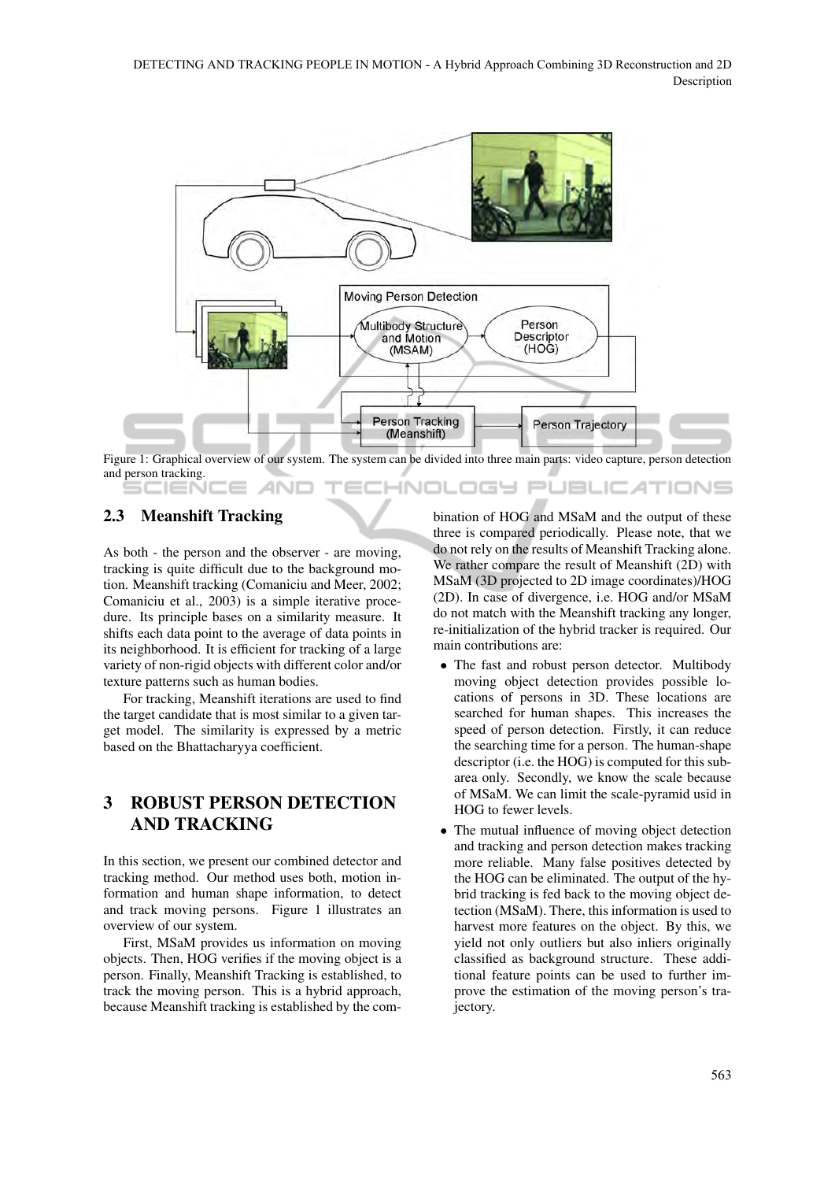

Figure 1: Graphical overview of our system. The system can be divided into three main parts: video capture, person detection and person tracking. **INOLOGY JBLIC ATIONS** 

### 2.3 Meanshift Tracking

icleN(

As both - the person and the observer - are moving, tracking is quite difficult due to the background motion. Meanshift tracking (Comaniciu and Meer, 2002; Comaniciu et al., 2003) is a simple iterative procedure. Its principle bases on a similarity measure. It shifts each data point to the average of data points in its neighborhood. It is efficient for tracking of a large variety of non-rigid objects with different color and/or texture patterns such as human bodies.

For tracking, Meanshift iterations are used to find the target candidate that is most similar to a given target model. The similarity is expressed by a metric based on the Bhattacharyya coefficient.

# 3 ROBUST PERSON DETECTION AND TRACKING

In this section, we present our combined detector and tracking method. Our method uses both, motion information and human shape information, to detect and track moving persons. Figure 1 illustrates an overview of our system.

First, MSaM provides us information on moving objects. Then, HOG verifies if the moving object is a person. Finally, Meanshift Tracking is established, to track the moving person. This is a hybrid approach, because Meanshift tracking is established by the combination of HOG and MSaM and the output of these three is compared periodically. Please note, that we do not rely on the results of Meanshift Tracking alone. We rather compare the result of Meanshift (2D) with MSaM (3D projected to 2D image coordinates)/HOG (2D). In case of divergence, i.e. HOG and/or MSaM do not match with the Meanshift tracking any longer, re-initialization of the hybrid tracker is required. Our main contributions are:

- The fast and robust person detector. Multibody moving object detection provides possible locations of persons in 3D. These locations are searched for human shapes. This increases the speed of person detection. Firstly, it can reduce the searching time for a person. The human-shape descriptor (i.e. the HOG) is computed for this subarea only. Secondly, we know the scale because of MSaM. We can limit the scale-pyramid usid in HOG to fewer levels.
- The mutual influence of moving object detection and tracking and person detection makes tracking more reliable. Many false positives detected by the HOG can be eliminated. The output of the hybrid tracking is fed back to the moving object detection (MSaM). There, this information is used to harvest more features on the object. By this, we yield not only outliers but also inliers originally classified as background structure. These additional feature points can be used to further improve the estimation of the moving person's trajectory.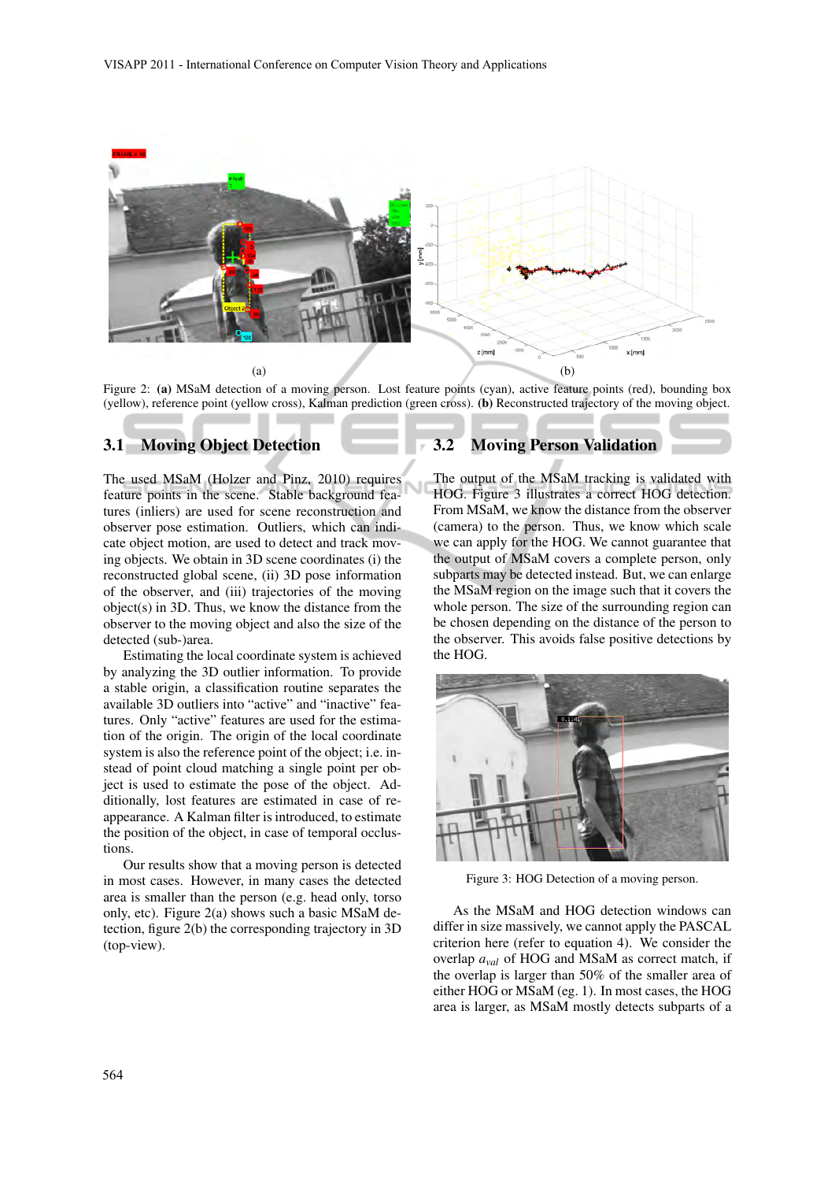

Figure 2: (a) MSaM detection of a moving person. Lost feature points (cyan), active feature points (red), bounding box (yellow), reference point (yellow cross), Kalman prediction (green cross). (b) Reconstructed trajectory of the moving object.

## 3.1 Moving Object Detection

The used MSaM (Holzer and Pinz, 2010) requires feature points in the scene. Stable background features (inliers) are used for scene reconstruction and observer pose estimation. Outliers, which can indicate object motion, are used to detect and track moving objects. We obtain in 3D scene coordinates (i) the reconstructed global scene, (ii) 3D pose information of the observer, and (iii) trajectories of the moving object(s) in 3D. Thus, we know the distance from the observer to the moving object and also the size of the detected (sub-)area.

Estimating the local coordinate system is achieved by analyzing the 3D outlier information. To provide a stable origin, a classification routine separates the available 3D outliers into "active" and "inactive" features. Only "active" features are used for the estimation of the origin. The origin of the local coordinate system is also the reference point of the object; i.e. instead of point cloud matching a single point per object is used to estimate the pose of the object. Additionally, lost features are estimated in case of reappearance. A Kalman filter is introduced, to estimate the position of the object, in case of temporal occlustions.

Our results show that a moving person is detected in most cases. However, in many cases the detected area is smaller than the person (e.g. head only, torso only, etc). Figure 2(a) shows such a basic MSaM detection, figure 2(b) the corresponding trajectory in 3D (top-view).

#### 3.2 Moving Person Validation

The output of the MSaM tracking is validated with HOG. Figure 3 illustrates a correct HOG detection. From MSaM, we know the distance from the observer (camera) to the person. Thus, we know which scale we can apply for the HOG. We cannot guarantee that the output of MSaM covers a complete person, only subparts may be detected instead. But, we can enlarge the MSaM region on the image such that it covers the whole person. The size of the surrounding region can be chosen depending on the distance of the person to the observer. This avoids false positive detections by the HOG.



Figure 3: HOG Detection of a moving person.

As the MSaM and HOG detection windows can differ in size massively, we cannot apply the PASCAL criterion here (refer to equation 4). We consider the overlap *aval* of HOG and MSaM as correct match, if the overlap is larger than 50% of the smaller area of either HOG or MSaM (eg. 1). In most cases, the HOG area is larger, as MSaM mostly detects subparts of a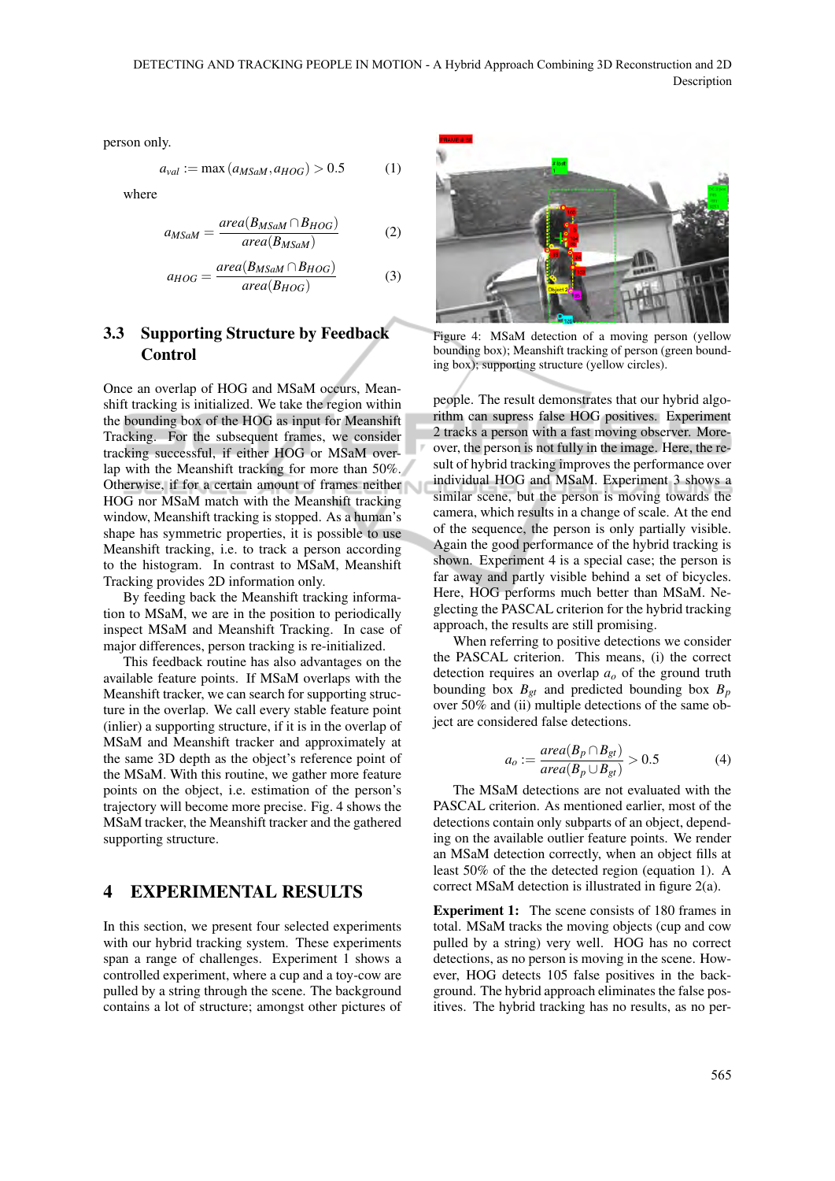person only.

$$
a_{val} := \max(a_{MSaM}, a_{HOG}) > 0.5 \tag{1}
$$

where

$$
a_{MSaM} = \frac{area(B_{MSaM} \cap B_{HOG})}{area(B_{MSaM})}
$$
(2)

$$
a_{HOG} = \frac{area(B_{MSaM} \cap B_{HOG})}{area(B_{HOG})}
$$
(3)

# 3.3 Supporting Structure by Feedback Control

Once an overlap of HOG and MSaM occurs, Meanshift tracking is initialized. We take the region within the bounding box of the HOG as input for Meanshift Tracking. For the subsequent frames, we consider tracking successful, if either HOG or MSaM overlap with the Meanshift tracking for more than 50%. Otherwise, if for a certain amount of frames neither HOG nor MSaM match with the Meanshift tracking window, Meanshift tracking is stopped. As a human's shape has symmetric properties, it is possible to use Meanshift tracking, i.e. to track a person according to the histogram. In contrast to MSaM, Meanshift Tracking provides 2D information only.

By feeding back the Meanshift tracking information to MSaM, we are in the position to periodically inspect MSaM and Meanshift Tracking. In case of major differences, person tracking is re-initialized.

This feedback routine has also advantages on the available feature points. If MSaM overlaps with the Meanshift tracker, we can search for supporting structure in the overlap. We call every stable feature point (inlier) a supporting structure, if it is in the overlap of MSaM and Meanshift tracker and approximately at the same 3D depth as the object's reference point of the MSaM. With this routine, we gather more feature points on the object, i.e. estimation of the person's trajectory will become more precise. Fig. 4 shows the MSaM tracker, the Meanshift tracker and the gathered supporting structure.

## 4 EXPERIMENTAL RESULTS

In this section, we present four selected experiments with our hybrid tracking system. These experiments span a range of challenges. Experiment 1 shows a controlled experiment, where a cup and a toy-cow are pulled by a string through the scene. The background contains a lot of structure; amongst other pictures of



Figure 4: MSaM detection of a moving person (yellow bounding box); Meanshift tracking of person (green bounding box); supporting structure (yellow circles).

people. The result demonstrates that our hybrid algorithm can supress false HOG positives. Experiment 2 tracks a person with a fast moving observer. Moreover, the person is not fully in the image. Here, the result of hybrid tracking improves the performance over individual HOG and MSaM. Experiment 3 shows a similar scene, but the person is moving towards the camera, which results in a change of scale. At the end of the sequence, the person is only partially visible. Again the good performance of the hybrid tracking is shown. Experiment 4 is a special case; the person is far away and partly visible behind a set of bicycles. Here, HOG performs much better than MSaM. Neglecting the PASCAL criterion for the hybrid tracking approach, the results are still promising.

When referring to positive detections we consider the PASCAL criterion. This means, (i) the correct detection requires an overlap *a<sup>o</sup>* of the ground truth bounding box  $B_{gt}$  and predicted bounding box  $B_p$ over 50% and (ii) multiple detections of the same object are considered false detections.

$$
a_o := \frac{area(B_p \cap B_{gt})}{area(B_p \cup B_{gt})} > 0.5
$$
 (4)

The MSaM detections are not evaluated with the PASCAL criterion. As mentioned earlier, most of the detections contain only subparts of an object, depending on the available outlier feature points. We render an MSaM detection correctly, when an object fills at least 50% of the the detected region (equation 1). A correct MSaM detection is illustrated in figure 2(a).

Experiment 1: The scene consists of 180 frames in total. MSaM tracks the moving objects (cup and cow pulled by a string) very well. HOG has no correct detections, as no person is moving in the scene. However, HOG detects 105 false positives in the background. The hybrid approach eliminates the false positives. The hybrid tracking has no results, as no per-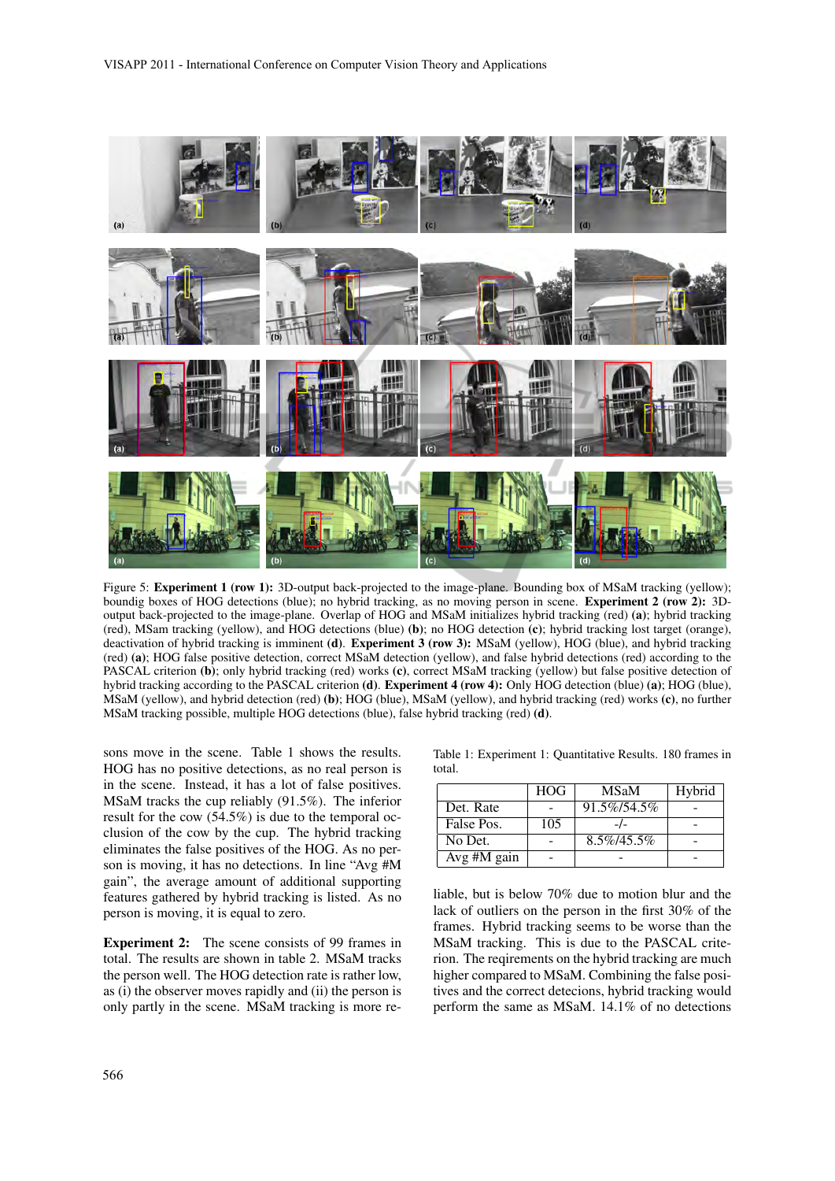

Figure 5: Experiment 1 (row 1): 3D-output back-projected to the image-plane. Bounding box of MSaM tracking (yellow); boundig boxes of HOG detections (blue); no hybrid tracking, as no moving person in scene. Experiment 2 (row 2): 3Doutput back-projected to the image-plane. Overlap of HOG and MSaM initializes hybrid tracking (red) (a); hybrid tracking (red), MSam tracking (yellow), and HOG detections (blue) (b); no HOG detection (c); hybrid tracking lost target (orange), deactivation of hybrid tracking is imminent (d). Experiment 3 (row 3): MSaM (yellow), HOG (blue), and hybrid tracking (red) (a); HOG false positive detection, correct MSaM detection (yellow), and false hybrid detections (red) according to the PASCAL criterion (b); only hybrid tracking (red) works (c), correct MSaM tracking (yellow) but false positive detection of hybrid tracking according to the PASCAL criterion (d). Experiment 4 (row 4): Only HOG detection (blue) (a); HOG (blue), MSaM (yellow), and hybrid detection (red) (b); HOG (blue), MSaM (yellow), and hybrid tracking (red) works (c), no further MSaM tracking possible, multiple HOG detections (blue), false hybrid tracking (red) (d).

sons move in the scene. Table 1 shows the results. HOG has no positive detections, as no real person is in the scene. Instead, it has a lot of false positives. MSaM tracks the cup reliably (91.5%). The inferior result for the cow (54.5%) is due to the temporal occlusion of the cow by the cup. The hybrid tracking eliminates the false positives of the HOG. As no person is moving, it has no detections. In line "Avg #M gain", the average amount of additional supporting features gathered by hybrid tracking is listed. As no person is moving, it is equal to zero.

Experiment 2: The scene consists of 99 frames in total. The results are shown in table 2. MSaM tracks the person well. The HOG detection rate is rather low, as (i) the observer moves rapidly and (ii) the person is only partly in the scene. MSaM tracking is more reTable 1: Experiment 1: Quantitative Results. 180 frames in total.

|             | <b>HOG</b> | <b>MSaM</b>    | Hybrid |
|-------------|------------|----------------|--------|
| Det. Rate   |            | 91.5%/54.5%    |        |
| False Pos.  | 105        |                |        |
| No Det.     |            | $8.5\%/45.5\%$ |        |
| Avg #M gain |            |                |        |

liable, but is below 70% due to motion blur and the lack of outliers on the person in the first 30% of the frames. Hybrid tracking seems to be worse than the MSaM tracking. This is due to the PASCAL criterion. The reqirements on the hybrid tracking are much higher compared to MSaM. Combining the false positives and the correct detecions, hybrid tracking would perform the same as MSaM. 14.1% of no detections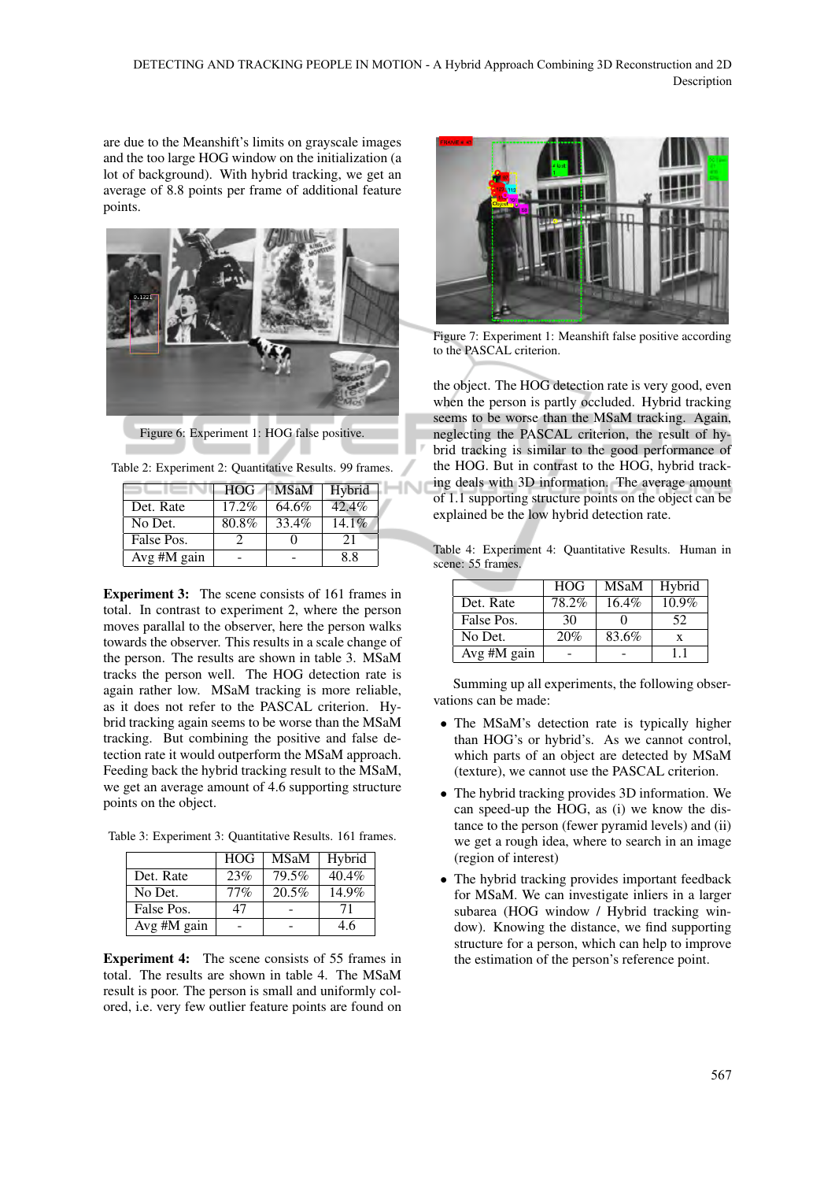**JNJ** 

are due to the Meanshift's limits on grayscale images and the too large HOG window on the initialization (a lot of background). With hybrid tracking, we get an average of 8.8 points per frame of additional feature points.



Figure 6: Experiment 1: HOG false positive.

|             | <b>HOG</b> | <b>MSaM</b> | Hybrid   |
|-------------|------------|-------------|----------|
| Det. Rate   | $17.2\%$   | 64.6%       | 42.4%    |
| No Det.     | 80.8%      | 33.4%       | $14.1\%$ |
| False Pos.  |            |             | 21       |
| Avg #M gain |            |             | 8.8      |

Table 2: Experiment 2: Quantitative Results. 99 frames.

Experiment 3: The scene consists of 161 frames in total. In contrast to experiment 2, where the person moves parallal to the observer, here the person walks towards the observer. This results in a scale change of the person. The results are shown in table 3. MSaM tracks the person well. The HOG detection rate is again rather low. MSaM tracking is more reliable, as it does not refer to the PASCAL criterion. Hybrid tracking again seems to be worse than the MSaM tracking. But combining the positive and false detection rate it would outperform the MSaM approach. Feeding back the hybrid tracking result to the MSaM, we get an average amount of 4.6 supporting structure points on the object.

Table 3: Experiment 3: Quantitative Results. 161 frames.

|             | <b>HOG</b> | <b>MSaM</b> | Hybrid   |
|-------------|------------|-------------|----------|
| Det. Rate   | 23%        | 79.5%       | $40.4\%$ |
| No Det.     | 77%        | 20.5%       | 14.9%    |
| False Pos.  | 47         |             | 71       |
| Avg #M gain |            |             | 4.6      |

Experiment 4: The scene consists of 55 frames in total. The results are shown in table 4. The MSaM result is poor. The person is small and uniformly colored, i.e. very few outlier feature points are found on



Figure 7: Experiment 1: Meanshift false positive according to the PASCAL criterion.

the object. The HOG detection rate is very good, even when the person is partly occluded. Hybrid tracking seems to be worse than the MSaM tracking. Again, neglecting the PASCAL criterion, the result of hybrid tracking is similar to the good performance of the HOG. But in contrast to the HOG, hybrid tracking deals with 3D information. The average amount of 1.1 supporting structure points on the object can be explained be the low hybrid detection rate.

Table 4: Experiment 4: Quantitative Results. Human in scene: 55 frames.

|             | <b>HOG</b> | <b>MSaM</b> | Hybrid |
|-------------|------------|-------------|--------|
| Det. Rate   | 78.2%      | $16.4\%$    | 10.9%  |
| False Pos.  | 30         |             | 52     |
| No Det.     | 20%        | 83.6%       | X      |
| Avg #M gain |            |             |        |

Summing up all experiments, the following observations can be made:

- The MSaM's detection rate is typically higher than HOG's or hybrid's. As we cannot control, which parts of an object are detected by MSaM (texture), we cannot use the PASCAL criterion.
- The hybrid tracking provides 3D information. We can speed-up the HOG, as (i) we know the distance to the person (fewer pyramid levels) and (ii) we get a rough idea, where to search in an image (region of interest)
- The hybrid tracking provides important feedback for MSaM. We can investigate inliers in a larger subarea (HOG window / Hybrid tracking window). Knowing the distance, we find supporting structure for a person, which can help to improve the estimation of the person's reference point.